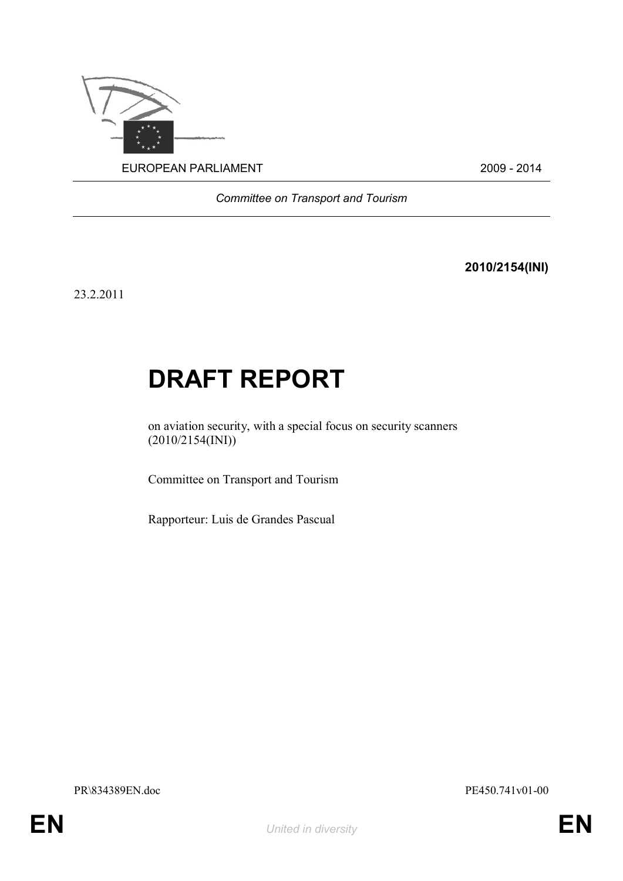

*Committee on Transport and Tourism*

**2010/2154(INI)**

23.2.2011

# **DRAFT REPORT**

on aviation security, with a special focus on security scanners (2010/2154(INI))

Committee on Transport and Tourism

Rapporteur: Luis de Grandes Pascual

PR\834389EN.doc PE450.741v01-00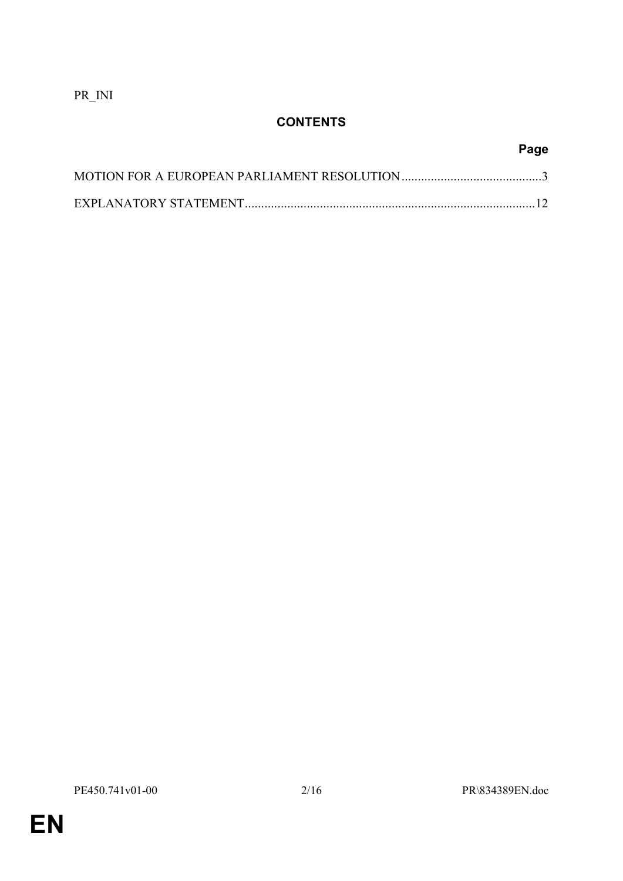PR\_INI

# **CONTENTS**

| Page |
|------|
|      |
|      |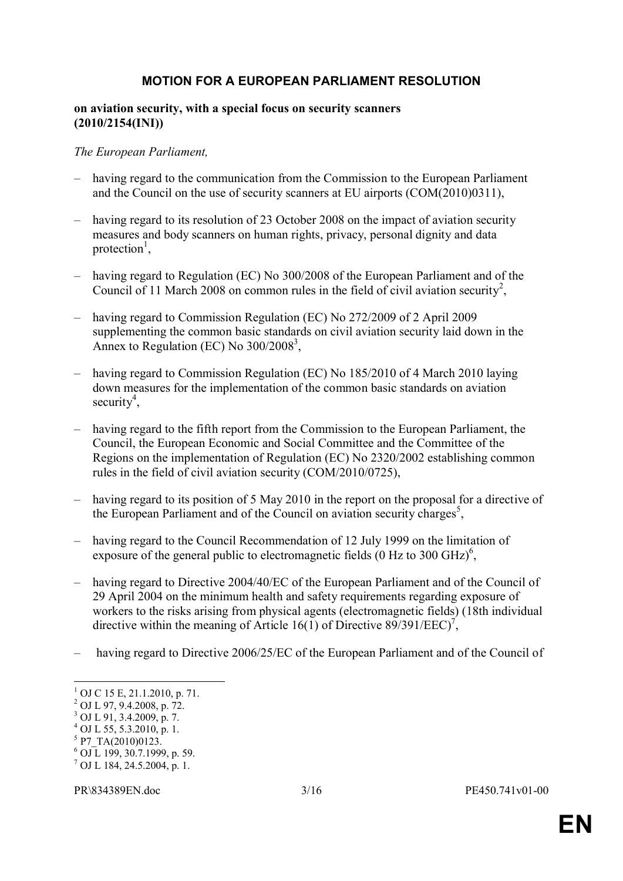# **MOTION FOR A EUROPEAN PARLIAMENT RESOLUTION**

#### **on aviation security, with a special focus on security scanners (2010/2154(INI))**

#### *The European Parliament,*

- having regard to the communication from the Commission to the European Parliament and the Council on the use of security scanners at EU airports (COM(2010)0311),
- having regard to its resolution of 23 October 2008 on the impact of aviation security measures and body scanners on human rights, privacy, personal dignity and data protection<sup>1</sup>,
- having regard to Regulation (EC) No 300/2008 of the European Parliament and of the Council of 11 March 2008 on common rules in the field of civil aviation security<sup>2</sup>,
- having regard to Commission Regulation (EC) No 272/2009 of 2 April 2009 supplementing the common basic standards on civil aviation security laid down in the Annex to Regulation (EC) No 300/2008<sup>3</sup>,
- having regard to Commission Regulation (EC) No 185/2010 of 4 March 2010 laying down measures for the implementation of the common basic standards on aviation security<sup>4</sup>,
- having regard to the fifth report from the Commission to the European Parliament, the Council, the European Economic and Social Committee and the Committee of the Regions on the implementation of Regulation (EC) No 2320/2002 establishing common rules in the field of civil aviation security (COM/2010/0725),
- having regard to its position of 5 May 2010 in the report on the proposal for a directive of the European Parliament and of the Council on aviation security charges<sup>5</sup>,
- having regard to the Council Recommendation of 12 July 1999 on the limitation of exposure of the general public to electromagnetic fields  $(0 Hz)$  to 300 GHz $)^6$ ,
- having regard to Directive 2004/40/EC of the European Parliament and of the Council of 29 April 2004 on the minimum health and safety requirements regarding exposure of workers to the risks arising from physical agents (electromagnetic fields) (18th individual directive within the meaning of Article 16(1) of Directive 89/391/EEC)<sup>7</sup>,
- having regard to Directive 2006/25/EC of the European Parliament and of the Council of

5 P7\_TA(2010)0123.

 1 OJ C 15 E, 21.1.2010, p. 71.

<sup>2</sup> OJ L 97, 9.4.2008, p. 72. 3 OJ L 91, 3.4.2009, p. 7. 4 OJ L 55, 5.3.2010, p. 1.

 $^6$  OJ L 199, 30.7.1999, p. 59.

<sup>7</sup> OJ L 184, 24.5.2004, p. 1.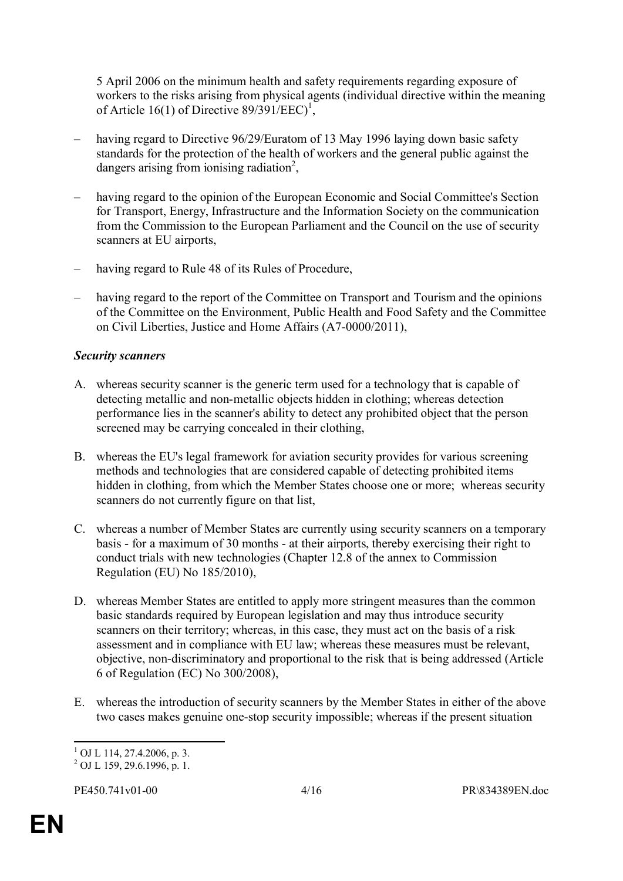5 April 2006 on the minimum health and safety requirements regarding exposure of workers to the risks arising from physical agents (individual directive within the meaning of Article 16(1) of Directive  $89/391/EEC$ <sup>1</sup>,

- having regard to Directive 96/29/Euratom of 13 May 1996 laying down basic safety standards for the protection of the health of workers and the general public against the dangers arising from ionising radiation<sup>2</sup>,
- having regard to the opinion of the European Economic and Social Committee's Section for Transport, Energy, Infrastructure and the Information Society on the communication from the Commission to the European Parliament and the Council on the use of security scanners at EU airports,
- having regard to Rule 48 of its Rules of Procedure,
- having regard to the report of the Committee on Transport and Tourism and the opinions of the Committee on the Environment, Public Health and Food Safety and the Committee on Civil Liberties, Justice and Home Affairs (A7-0000/2011),

# *Security scanners*

- A. whereas security scanner is the generic term used for a technology that is capable of detecting metallic and non-metallic objects hidden in clothing; whereas detection performance lies in the scanner's ability to detect any prohibited object that the person screened may be carrying concealed in their clothing,
- B. whereas the EU's legal framework for aviation security provides for various screening methods and technologies that are considered capable of detecting prohibited items hidden in clothing, from which the Member States choose one or more; whereas security scanners do not currently figure on that list,
- C. whereas a number of Member States are currently using security scanners on a temporary basis - for a maximum of 30 months - at their airports, thereby exercising their right to conduct trials with new technologies (Chapter 12.8 of the annex to Commission Regulation (EU) No 185/2010),
- D. whereas Member States are entitled to apply more stringent measures than the common basic standards required by European legislation and may thus introduce security scanners on their territory; whereas, in this case, they must act on the basis of a risk assessment and in compliance with EU law; whereas these measures must be relevant, objective, non-discriminatory and proportional to the risk that is being addressed (Article 6 of Regulation (EC) No 300/2008),
- E. whereas the introduction of security scanners by the Member States in either of the above two cases makes genuine one-stop security impossible; whereas if the present situation

<sup>&</sup>lt;u>.</u>  $1$  OJ L 114, 27.4.2006, p. 3.

<sup>2</sup> OJ L 159, 29.6.1996, p. 1.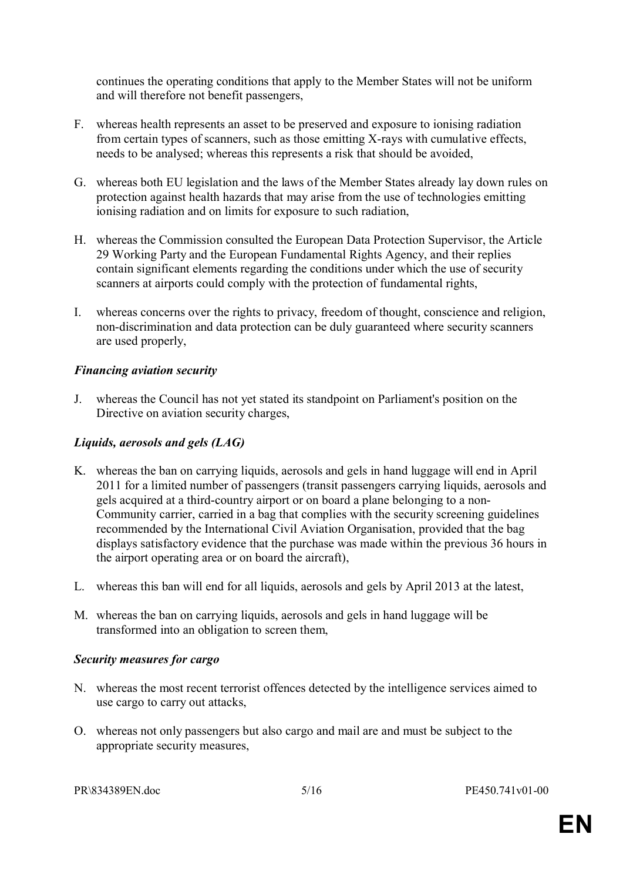continues the operating conditions that apply to the Member States will not be uniform and will therefore not benefit passengers,

- F. whereas health represents an asset to be preserved and exposure to ionising radiation from certain types of scanners, such as those emitting X-rays with cumulative effects, needs to be analysed; whereas this represents a risk that should be avoided,
- G. whereas both EU legislation and the laws of the Member States already lay down rules on protection against health hazards that may arise from the use of technologies emitting ionising radiation and on limits for exposure to such radiation,
- H. whereas the Commission consulted the European Data Protection Supervisor, the Article 29 Working Party and the European Fundamental Rights Agency, and their replies contain significant elements regarding the conditions under which the use of security scanners at airports could comply with the protection of fundamental rights,
- I. whereas concerns over the rights to privacy, freedom of thought, conscience and religion, non-discrimination and data protection can be duly guaranteed where security scanners are used properly,

# *Financing aviation security*

J. whereas the Council has not yet stated its standpoint on Parliament's position on the Directive on aviation security charges,

# *Liquids, aerosols and gels (LAG)*

- K. whereas the ban on carrying liquids, aerosols and gels in hand luggage will end in April 2011 for a limited number of passengers (transit passengers carrying liquids, aerosols and gels acquired at a third-country airport or on board a plane belonging to a non-Community carrier, carried in a bag that complies with the security screening guidelines recommended by the International Civil Aviation Organisation, provided that the bag displays satisfactory evidence that the purchase was made within the previous 36 hours in the airport operating area or on board the aircraft),
- L. whereas this ban will end for all liquids, aerosols and gels by April 2013 at the latest,
- M. whereas the ban on carrying liquids, aerosols and gels in hand luggage will be transformed into an obligation to screen them,

#### *Security measures for cargo*

- N. whereas the most recent terrorist offences detected by the intelligence services aimed to use cargo to carry out attacks,
- O. whereas not only passengers but also cargo and mail are and must be subject to the appropriate security measures,

PR\834389EN.doc 5/16 5/16 PE450.741v01-00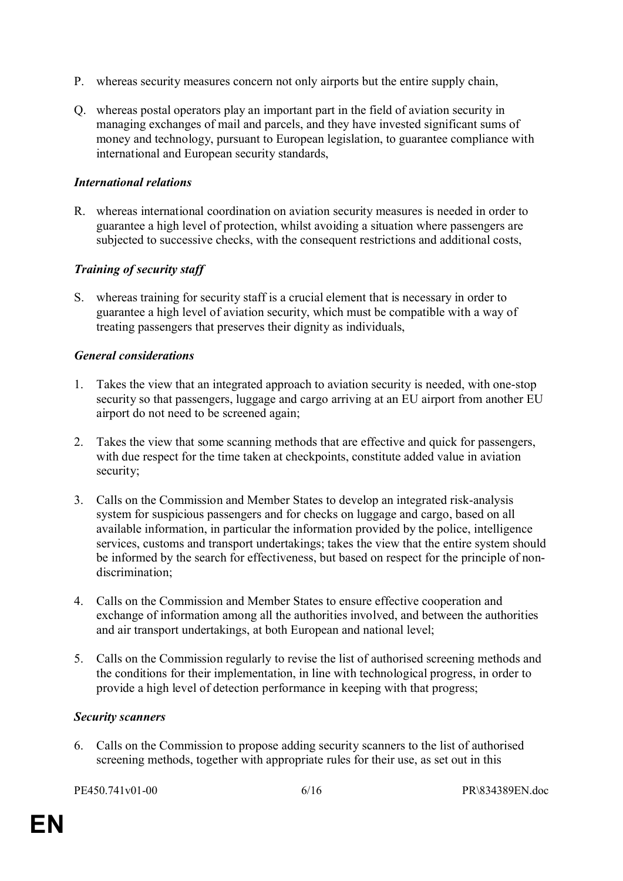- P. whereas security measures concern not only airports but the entire supply chain,
- Q. whereas postal operators play an important part in the field of aviation security in managing exchanges of mail and parcels, and they have invested significant sums of money and technology, pursuant to European legislation, to guarantee compliance with international and European security standards,

#### *International relations*

R. whereas international coordination on aviation security measures is needed in order to guarantee a high level of protection, whilst avoiding a situation where passengers are subjected to successive checks, with the consequent restrictions and additional costs,

# *Training of security staff*

S. whereas training for security staff is a crucial element that is necessary in order to guarantee a high level of aviation security, which must be compatible with a way of treating passengers that preserves their dignity as individuals,

# *General considerations*

- 1. Takes the view that an integrated approach to aviation security is needed, with one-stop security so that passengers, luggage and cargo arriving at an EU airport from another EU airport do not need to be screened again;
- 2. Takes the view that some scanning methods that are effective and quick for passengers, with due respect for the time taken at checkpoints, constitute added value in aviation security;
- 3. Calls on the Commission and Member States to develop an integrated risk-analysis system for suspicious passengers and for checks on luggage and cargo, based on all available information, in particular the information provided by the police, intelligence services, customs and transport undertakings; takes the view that the entire system should be informed by the search for effectiveness, but based on respect for the principle of nondiscrimination;
- 4. Calls on the Commission and Member States to ensure effective cooperation and exchange of information among all the authorities involved, and between the authorities and air transport undertakings, at both European and national level;
- 5. Calls on the Commission regularly to revise the list of authorised screening methods and the conditions for their implementation, in line with technological progress, in order to provide a high level of detection performance in keeping with that progress;

#### *Security scanners*

6. Calls on the Commission to propose adding security scanners to the list of authorised screening methods, together with appropriate rules for their use, as set out in this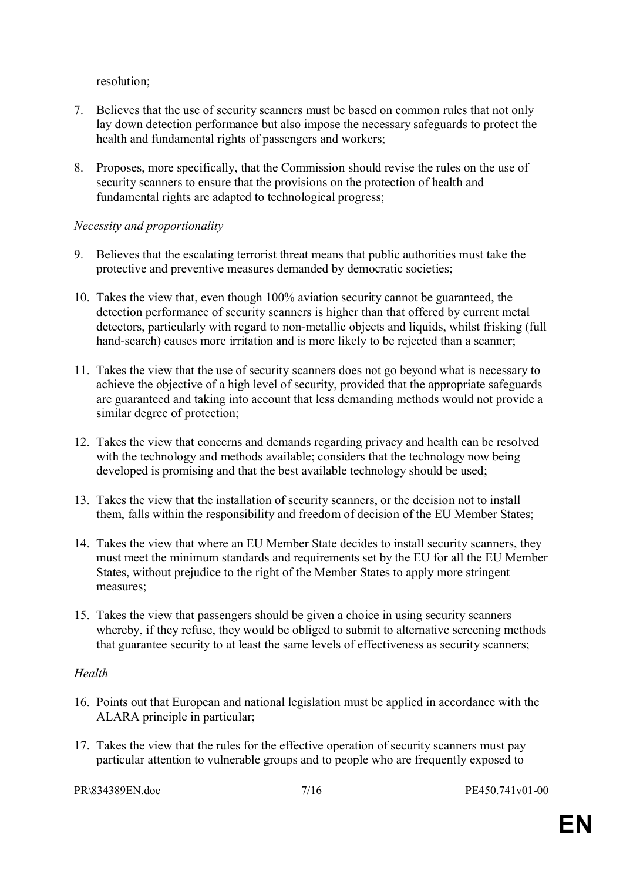resolution;

- 7. Believes that the use of security scanners must be based on common rules that not only lay down detection performance but also impose the necessary safeguards to protect the health and fundamental rights of passengers and workers;
- 8. Proposes, more specifically, that the Commission should revise the rules on the use of security scanners to ensure that the provisions on the protection of health and fundamental rights are adapted to technological progress;

# *Necessity and proportionality*

- 9. Believes that the escalating terrorist threat means that public authorities must take the protective and preventive measures demanded by democratic societies;
- 10. Takes the view that, even though 100% aviation security cannot be guaranteed, the detection performance of security scanners is higher than that offered by current metal detectors, particularly with regard to non-metallic objects and liquids, whilst frisking (full hand-search) causes more irritation and is more likely to be rejected than a scanner;
- 11. Takes the view that the use of security scanners does not go beyond what is necessary to achieve the objective of a high level of security, provided that the appropriate safeguards are guaranteed and taking into account that less demanding methods would not provide a similar degree of protection;
- 12. Takes the view that concerns and demands regarding privacy and health can be resolved with the technology and methods available; considers that the technology now being developed is promising and that the best available technology should be used;
- 13. Takes the view that the installation of security scanners, or the decision not to install them, falls within the responsibility and freedom of decision of the EU Member States;
- 14. Takes the view that where an EU Member State decides to install security scanners, they must meet the minimum standards and requirements set by the EU for all the EU Member States, without prejudice to the right of the Member States to apply more stringent measures;
- 15. Takes the view that passengers should be given a choice in using security scanners whereby, if they refuse, they would be obliged to submit to alternative screening methods that guarantee security to at least the same levels of effectiveness as security scanners;

#### *Health*

- 16. Points out that European and national legislation must be applied in accordance with the ALARA principle in particular;
- 17. Takes the view that the rules for the effective operation of security scanners must pay particular attention to vulnerable groups and to people who are frequently exposed to

PR\834389EN.doc 7/16 PE450.741v01-00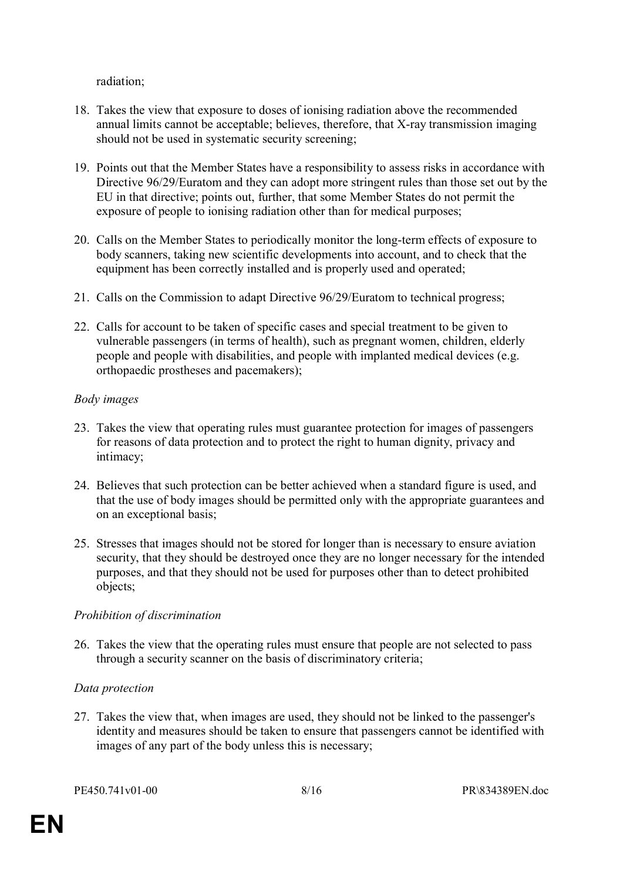radiation;

- 18. Takes the view that exposure to doses of ionising radiation above the recommended annual limits cannot be acceptable; believes, therefore, that X-ray transmission imaging should not be used in systematic security screening;
- 19. Points out that the Member States have a responsibility to assess risks in accordance with Directive 96/29/Euratom and they can adopt more stringent rules than those set out by the EU in that directive; points out, further, that some Member States do not permit the exposure of people to ionising radiation other than for medical purposes;
- 20. Calls on the Member States to periodically monitor the long-term effects of exposure to body scanners, taking new scientific developments into account, and to check that the equipment has been correctly installed and is properly used and operated;
- 21. Calls on the Commission to adapt Directive 96/29/Euratom to technical progress;
- 22. Calls for account to be taken of specific cases and special treatment to be given to vulnerable passengers (in terms of health), such as pregnant women, children, elderly people and people with disabilities, and people with implanted medical devices (e.g. orthopaedic prostheses and pacemakers);

# *Body images*

- 23. Takes the view that operating rules must guarantee protection for images of passengers for reasons of data protection and to protect the right to human dignity, privacy and intimacy;
- 24. Believes that such protection can be better achieved when a standard figure is used, and that the use of body images should be permitted only with the appropriate guarantees and on an exceptional basis;
- 25. Stresses that images should not be stored for longer than is necessary to ensure aviation security, that they should be destroyed once they are no longer necessary for the intended purposes, and that they should not be used for purposes other than to detect prohibited objects;

# *Prohibition of discrimination*

26. Takes the view that the operating rules must ensure that people are not selected to pass through a security scanner on the basis of discriminatory criteria;

# *Data protection*

27. Takes the view that, when images are used, they should not be linked to the passenger's identity and measures should be taken to ensure that passengers cannot be identified with images of any part of the body unless this is necessary;

PE450.741v01-00 8/16 8/16 PR\834389EN.doc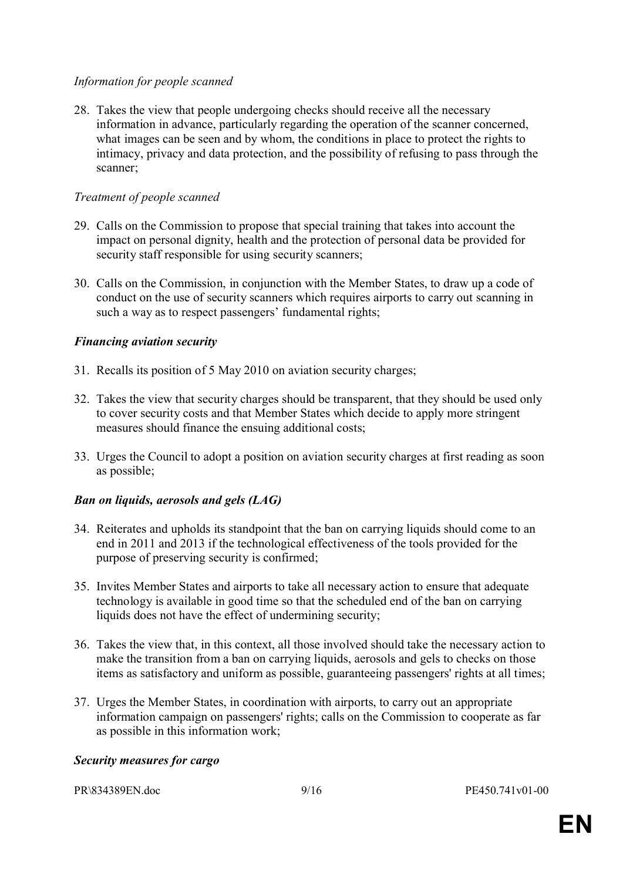# *Information for people scanned*

28. Takes the view that people undergoing checks should receive all the necessary information in advance, particularly regarding the operation of the scanner concerned, what images can be seen and by whom, the conditions in place to protect the rights to intimacy, privacy and data protection, and the possibility of refusing to pass through the scanner;

# *Treatment of people scanned*

- 29. Calls on the Commission to propose that special training that takes into account the impact on personal dignity, health and the protection of personal data be provided for security staff responsible for using security scanners;
- 30. Calls on the Commission, in conjunction with the Member States, to draw up a code of conduct on the use of security scanners which requires airports to carry out scanning in such a way as to respect passengers' fundamental rights;

# *Financing aviation security*

- 31. Recalls its position of 5 May 2010 on aviation security charges;
- 32. Takes the view that security charges should be transparent, that they should be used only to cover security costs and that Member States which decide to apply more stringent measures should finance the ensuing additional costs;
- 33. Urges the Council to adopt a position on aviation security charges at first reading as soon as possible;

# *Ban on liquids, aerosols and gels (LAG)*

- 34. Reiterates and upholds its standpoint that the ban on carrying liquids should come to an end in 2011 and 2013 if the technological effectiveness of the tools provided for the purpose of preserving security is confirmed;
- 35. Invites Member States and airports to take all necessary action to ensure that adequate technology is available in good time so that the scheduled end of the ban on carrying liquids does not have the effect of undermining security;
- 36. Takes the view that, in this context, all those involved should take the necessary action to make the transition from a ban on carrying liquids, aerosols and gels to checks on those items as satisfactory and uniform as possible, guaranteeing passengers' rights at all times;
- 37. Urges the Member States, in coordination with airports, to carry out an appropriate information campaign on passengers' rights; calls on the Commission to cooperate as far as possible in this information work;

#### *Security measures for cargo*

PR\834389EN.doc 9/16 9/16 PE450.741v01-00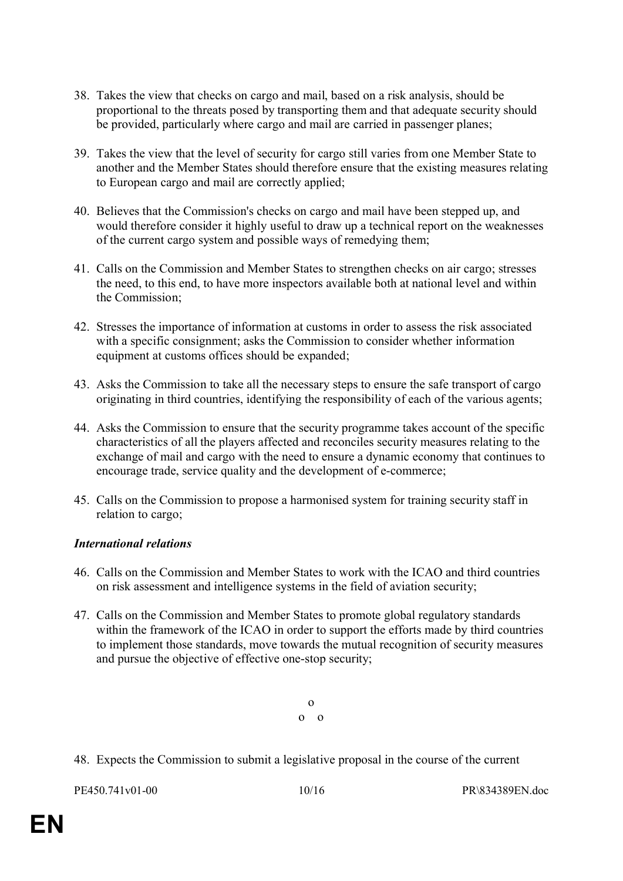- 38. Takes the view that checks on cargo and mail, based on a risk analysis, should be proportional to the threats posed by transporting them and that adequate security should be provided, particularly where cargo and mail are carried in passenger planes;
- 39. Takes the view that the level of security for cargo still varies from one Member State to another and the Member States should therefore ensure that the existing measures relating to European cargo and mail are correctly applied;
- 40. Believes that the Commission's checks on cargo and mail have been stepped up, and would therefore consider it highly useful to draw up a technical report on the weaknesses of the current cargo system and possible ways of remedying them;
- 41. Calls on the Commission and Member States to strengthen checks on air cargo; stresses the need, to this end, to have more inspectors available both at national level and within the Commission;
- 42. Stresses the importance of information at customs in order to assess the risk associated with a specific consignment; asks the Commission to consider whether information equipment at customs offices should be expanded;
- 43. Asks the Commission to take all the necessary steps to ensure the safe transport of cargo originating in third countries, identifying the responsibility of each of the various agents;
- 44. Asks the Commission to ensure that the security programme takes account of the specific characteristics of all the players affected and reconciles security measures relating to the exchange of mail and cargo with the need to ensure a dynamic economy that continues to encourage trade, service quality and the development of e-commerce;
- 45. Calls on the Commission to propose a harmonised system for training security staff in relation to cargo;

# *International relations*

- 46. Calls on the Commission and Member States to work with the ICAO and third countries on risk assessment and intelligence systems in the field of aviation security;
- 47. Calls on the Commission and Member States to promote global regulatory standards within the framework of the ICAO in order to support the efforts made by third countries to implement those standards, move towards the mutual recognition of security measures and pursue the objective of effective one-stop security;



48. Expects the Commission to submit a legislative proposal in the course of the current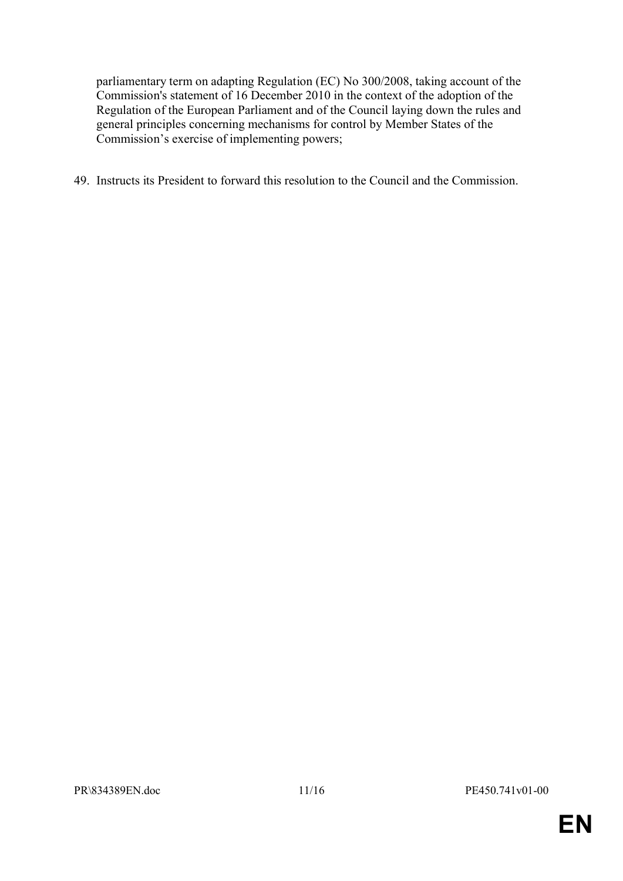parliamentary term on adapting Regulation (EC) No 300/2008, taking account of the Commission's statement of 16 December 2010 in the context of the adoption of the Regulation of the European Parliament and of the Council laying down the rules and general principles concerning mechanisms for control by Member States of the Commission's exercise of implementing powers;

49. Instructs its President to forward this resolution to the Council and the Commission.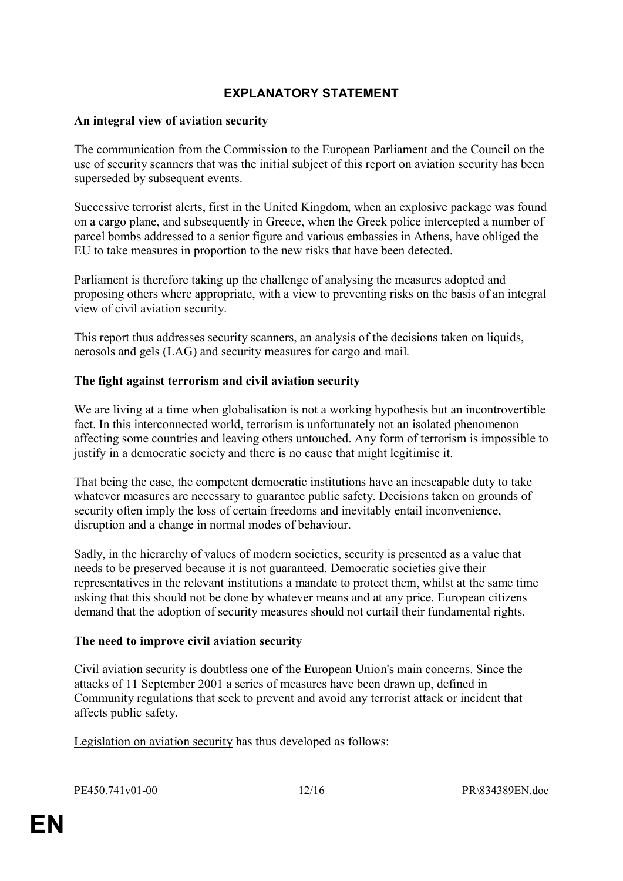# **EXPLANATORY STATEMENT**

#### **An integral view of aviation security**

The communication from the Commission to the European Parliament and the Council on the use of security scanners that was the initial subject of this report on aviation security has been superseded by subsequent events.

Successive terrorist alerts, first in the United Kingdom, when an explosive package was found on a cargo plane, and subsequently in Greece, when the Greek police intercepted a number of parcel bombs addressed to a senior figure and various embassies in Athens, have obliged the EU to take measures in proportion to the new risks that have been detected.

Parliament is therefore taking up the challenge of analysing the measures adopted and proposing others where appropriate, with a view to preventing risks on the basis of an integral view of civil aviation security.

This report thus addresses security scanners, an analysis of the decisions taken on liquids, aerosols and gels (LAG) and security measures for cargo and mail.

# **The fight against terrorism and civil aviation security**

We are living at a time when globalisation is not a working hypothesis but an incontrovertible fact. In this interconnected world, terrorism is unfortunately not an isolated phenomenon affecting some countries and leaving others untouched. Any form of terrorism is impossible to justify in a democratic society and there is no cause that might legitimise it.

That being the case, the competent democratic institutions have an inescapable duty to take whatever measures are necessary to guarantee public safety. Decisions taken on grounds of security often imply the loss of certain freedoms and inevitably entail inconvenience, disruption and a change in normal modes of behaviour.

Sadly, in the hierarchy of values of modern societies, security is presented as a value that needs to be preserved because it is not guaranteed. Democratic societies give their representatives in the relevant institutions a mandate to protect them, whilst at the same time asking that this should not be done by whatever means and at any price. European citizens demand that the adoption of security measures should not curtail their fundamental rights.

#### **The need to improve civil aviation security**

Civil aviation security is doubtless one of the European Union's main concerns. Since the attacks of 11 September 2001 a series of measures have been drawn up, defined in Community regulations that seek to prevent and avoid any terrorist attack or incident that affects public safety.

Legislation on aviation security has thus developed as follows: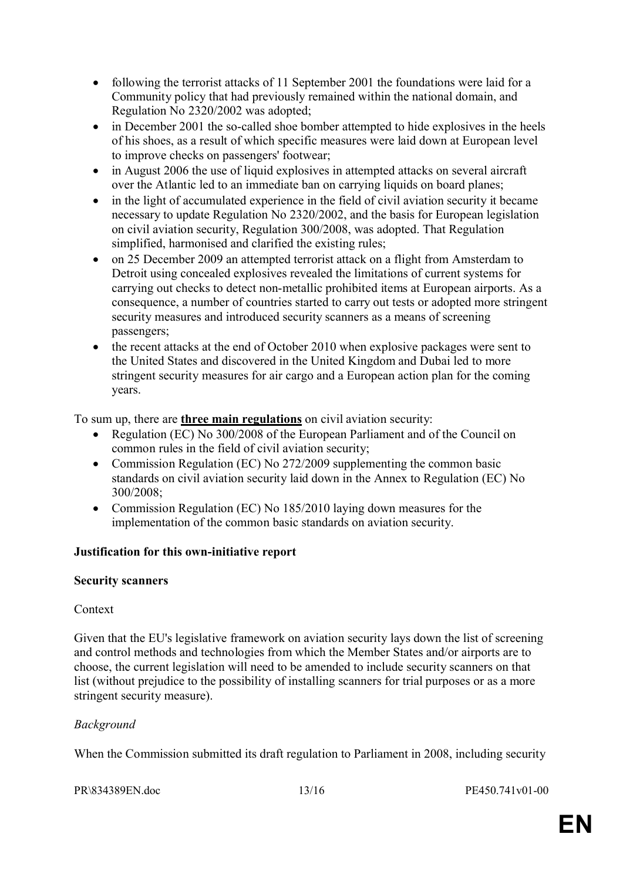- following the terrorist attacks of 11 September 2001 the foundations were laid for a Community policy that had previously remained within the national domain, and Regulation No 2320/2002 was adopted;
- in December 2001 the so-called shoe bomber attempted to hide explosives in the heels of his shoes, as a result of which specific measures were laid down at European level to improve checks on passengers' footwear;
- in August 2006 the use of liquid explosives in attempted attacks on several aircraft over the Atlantic led to an immediate ban on carrying liquids on board planes;
- in the light of accumulated experience in the field of civil aviation security it became necessary to update Regulation No 2320/2002, and the basis for European legislation on civil aviation security, Regulation 300/2008, was adopted. That Regulation simplified, harmonised and clarified the existing rules;
- on 25 December 2009 an attempted terrorist attack on a flight from Amsterdam to Detroit using concealed explosives revealed the limitations of current systems for carrying out checks to detect non-metallic prohibited items at European airports. As a consequence, a number of countries started to carry out tests or adopted more stringent security measures and introduced security scanners as a means of screening passengers;
- the recent attacks at the end of October 2010 when explosive packages were sent to the United States and discovered in the United Kingdom and Dubai led to more stringent security measures for air cargo and a European action plan for the coming years.

To sum up, there are **three main regulations** on civil aviation security:

- Regulation (EC) No 300/2008 of the European Parliament and of the Council on common rules in the field of civil aviation security;
- Commission Regulation (EC) No  $272/2009$  supplementing the common basic standards on civil aviation security laid down in the Annex to Regulation (EC) No 300/2008;
- Commission Regulation (EC) No 185/2010 laying down measures for the implementation of the common basic standards on aviation security.

# **Justification for this own-initiative report**

#### **Security scanners**

#### **Context**

Given that the EU's legislative framework on aviation security lays down the list of screening and control methods and technologies from which the Member States and/or airports are to choose, the current legislation will need to be amended to include security scanners on that list (without prejudice to the possibility of installing scanners for trial purposes or as a more stringent security measure).

#### *Background*

When the Commission submitted its draft regulation to Parliament in 2008, including security

PR\834389EN.doc 13/16 PE450.741v01-00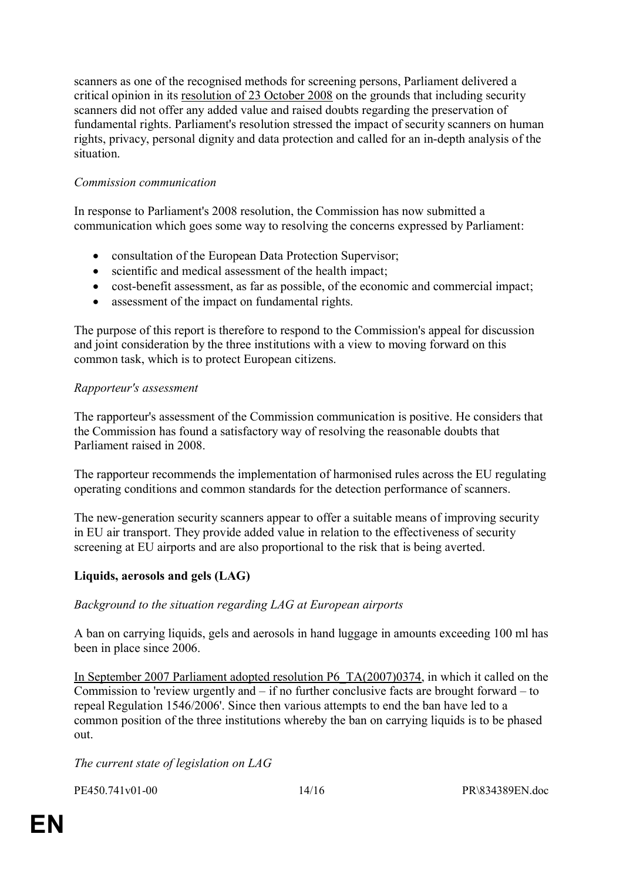scanners as one of the recognised methods for screening persons, Parliament delivered a critical opinion in its resolution of 23 October 2008 on the grounds that including security scanners did not offer any added value and raised doubts regarding the preservation of fundamental rights. Parliament's resolution stressed the impact of security scanners on human rights, privacy, personal dignity and data protection and called for an in-depth analysis of the situation.

#### *Commission communication*

In response to Parliament's 2008 resolution, the Commission has now submitted a communication which goes some way to resolving the concerns expressed by Parliament:

- consultation of the European Data Protection Supervisor;
- scientific and medical assessment of the health impact:
- cost-benefit assessment, as far as possible, of the economic and commercial impact;
- assessment of the impact on fundamental rights.

The purpose of this report is therefore to respond to the Commission's appeal for discussion and joint consideration by the three institutions with a view to moving forward on this common task, which is to protect European citizens.

#### *Rapporteur's assessment*

The rapporteur's assessment of the Commission communication is positive. He considers that the Commission has found a satisfactory way of resolving the reasonable doubts that Parliament raised in 2008.

The rapporteur recommends the implementation of harmonised rules across the EU regulating operating conditions and common standards for the detection performance of scanners.

The new-generation security scanners appear to offer a suitable means of improving security in EU air transport. They provide added value in relation to the effectiveness of security screening at EU airports and are also proportional to the risk that is being averted.

#### **Liquids, aerosols and gels (LAG)**

#### *Background to the situation regarding LAG at European airports*

A ban on carrying liquids, gels and aerosols in hand luggage in amounts exceeding 100 ml has been in place since 2006.

In September 2007 Parliament adopted resolution P6\_TA(2007)0374, in which it called on the Commission to 'review urgently and  $-$  if no further conclusive facts are brought forward  $-$  to repeal Regulation 1546/2006'. Since then various attempts to end the ban have led to a common position of the three institutions whereby the ban on carrying liquids is to be phased out.

*The current state of legislation on LAG*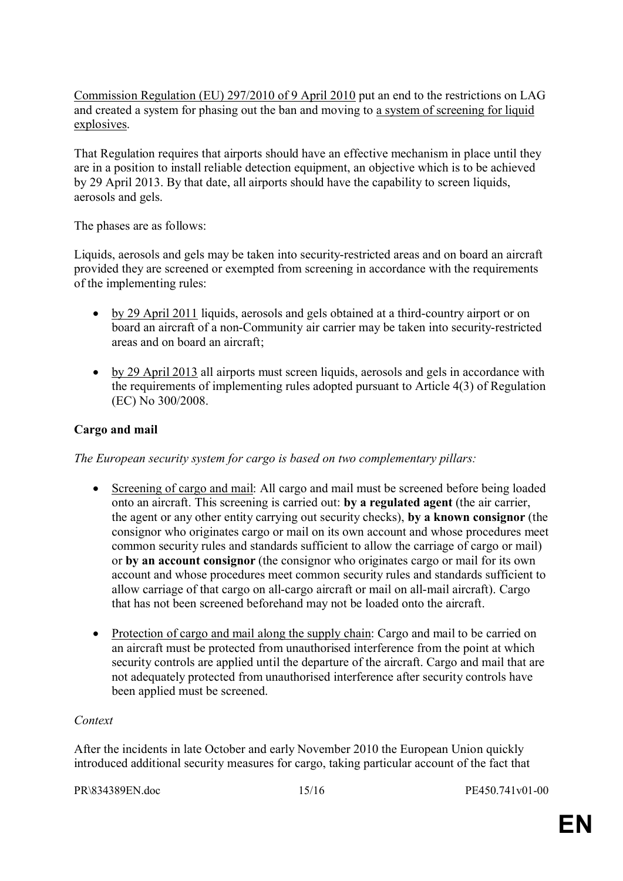Commission Regulation (EU) 297/2010 of 9 April 2010 put an end to the restrictions on LAG and created a system for phasing out the ban and moving to a system of screening for liquid explosives.

That Regulation requires that airports should have an effective mechanism in place until they are in a position to install reliable detection equipment, an objective which is to be achieved by 29 April 2013. By that date, all airports should have the capability to screen liquids, aerosols and gels.

The phases are as follows:

Liquids, aerosols and gels may be taken into security-restricted areas and on board an aircraft provided they are screened or exempted from screening in accordance with the requirements of the implementing rules:

- by 29 April 2011 liquids, aerosols and gels obtained at a third-country airport or on board an aircraft of a non-Community air carrier may be taken into security-restricted areas and on board an aircraft;
- by 29 April 2013 all airports must screen liquids, aerosols and gels in accordance with the requirements of implementing rules adopted pursuant to Article 4(3) of Regulation (EC) No 300/2008.

#### **Cargo and mail**

*The European security system for cargo is based on two complementary pillars:*

- Screening of cargo and mail: All cargo and mail must be screened before being loaded onto an aircraft. This screening is carried out: **by a regulated agent** (the air carrier, the agent or any other entity carrying out security checks), **by a known consignor** (the consignor who originates cargo or mail on its own account and whose procedures meet common security rules and standards sufficient to allow the carriage of cargo or mail) or **by an account consignor** (the consignor who originates cargo or mail for its own account and whose procedures meet common security rules and standards sufficient to allow carriage of that cargo on all-cargo aircraft or mail on all-mail aircraft). Cargo that has not been screened beforehand may not be loaded onto the aircraft.
- Protection of cargo and mail along the supply chain: Cargo and mail to be carried on an aircraft must be protected from unauthorised interference from the point at which security controls are applied until the departure of the aircraft. Cargo and mail that are not adequately protected from unauthorised interference after security controls have been applied must be screened.

#### *Context*

After the incidents in late October and early November 2010 the European Union quickly introduced additional security measures for cargo, taking particular account of the fact that

PR\834389EN.doc 15/16 PE450.741v01-00